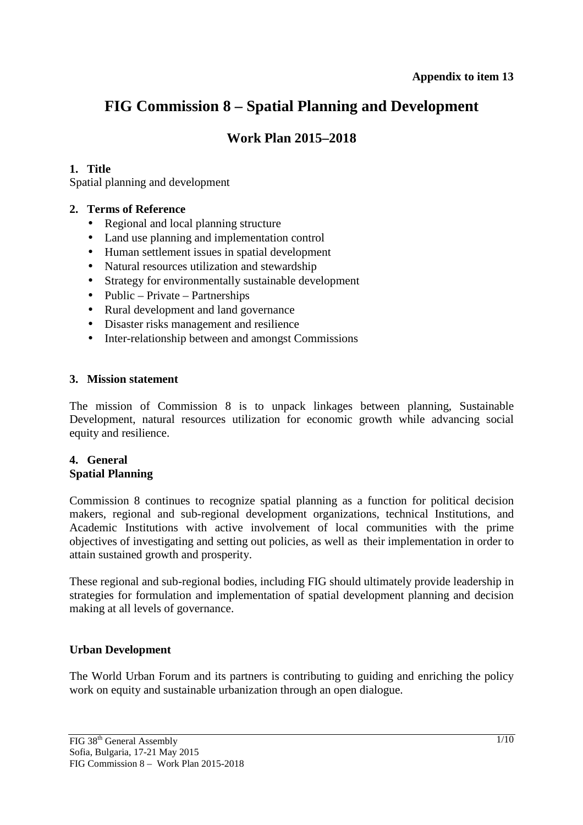# **FIG Commission 8 – Spatial Planning and Development**

# **Work Plan 2015–2018**

# **1. Title**

Spatial planning and development

### **2. Terms of Reference**

- Regional and local planning structure
- Land use planning and implementation control
- Human settlement issues in spatial development
- Natural resources utilization and stewardship
- Strategy for environmentally sustainable development
- Public Private Partnerships
- Rural development and land governance
- Disaster risks management and resilience
- Inter-relationship between and amongst Commissions

#### **3. Mission statement**

The mission of Commission 8 is to unpack linkages between planning, Sustainable Development, natural resources utilization for economic growth while advancing social equity and resilience.

#### **4. General Spatial Planning**

Commission 8 continues to recognize spatial planning as a function for political decision makers, regional and sub-regional development organizations, technical Institutions, and Academic Institutions with active involvement of local communities with the prime objectives of investigating and setting out policies, as well as their implementation in order to attain sustained growth and prosperity.

These regional and sub-regional bodies, including FIG should ultimately provide leadership in strategies for formulation and implementation of spatial development planning and decision making at all levels of governance.

### **Urban Development**

The World Urban Forum and its partners is contributing to guiding and enriching the policy work on equity and sustainable urbanization through an open dialogue.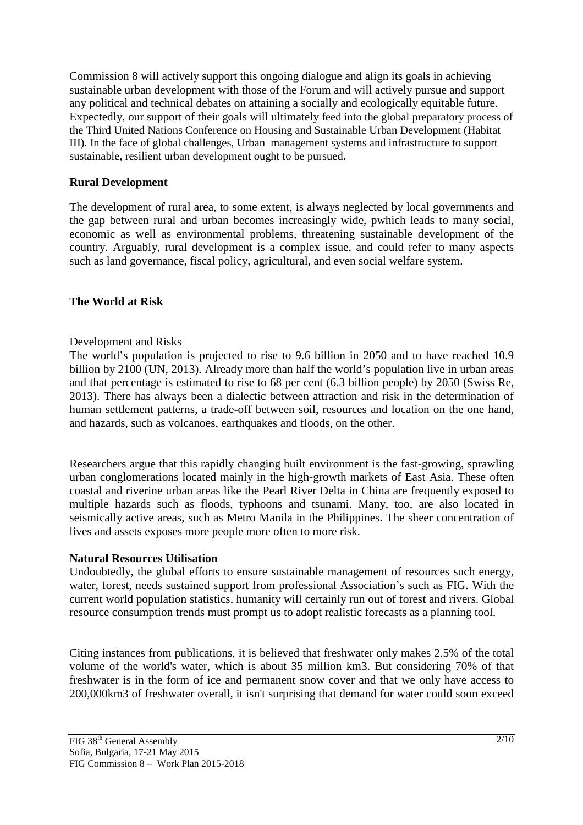Commission 8 will actively support this ongoing dialogue and align its goals in achieving sustainable urban development with those of the Forum and will actively pursue and support any political and technical debates on attaining a socially and ecologically equitable future. Expectedly, our support of their goals will ultimately feed into the global preparatory process of the Third United Nations Conference on Housing and Sustainable Urban Development (Habitat III). In the face of global challenges, Urban management systems and infrastructure to support sustainable, resilient urban development ought to be pursued.

# **Rural Development**

The development of rural area, to some extent, is always neglected by local governments and the gap between rural and urban becomes increasingly wide, pwhich leads to many social, economic as well as environmental problems, threatening sustainable development of the country. Arguably, rural development is a complex issue, and could refer to many aspects such as land governance, fiscal policy, agricultural, and even social welfare system.

# **The World at Risk**

### Development and Risks

The world's population is projected to rise to 9.6 billion in 2050 and to have reached 10.9 billion by 2100 (UN, 2013). Already more than half the world's population live in urban areas and that percentage is estimated to rise to 68 per cent (6.3 billion people) by 2050 (Swiss Re, 2013). There has always been a dialectic between attraction and risk in the determination of human settlement patterns, a trade-off between soil, resources and location on the one hand, and hazards, such as volcanoes, earthquakes and floods, on the other.

Researchers argue that this rapidly changing built environment is the fast-growing, sprawling urban conglomerations located mainly in the high-growth markets of East Asia. These often coastal and riverine urban areas like the Pearl River Delta in China are frequently exposed to multiple hazards such as floods, typhoons and tsunami. Many, too, are also located in seismically active areas, such as Metro Manila in the Philippines. The sheer concentration of lives and assets exposes more people more often to more risk.

### **Natural Resources Utilisation**

Undoubtedly, the global efforts to ensure sustainable management of resources such energy, water, forest, needs sustained support from professional Association's such as FIG. With the current world population statistics, humanity will certainly run out of forest and rivers. Global resource consumption trends must prompt us to adopt realistic forecasts as a planning tool.

Citing instances from publications, it is believed that freshwater only makes 2.5% of the total volume of the world's water, which is about 35 million km3. But considering 70% of that freshwater is in the form of ice and permanent snow cover and that we only have access to 200,000km3 of freshwater overall, it isn't surprising that demand for water could soon exceed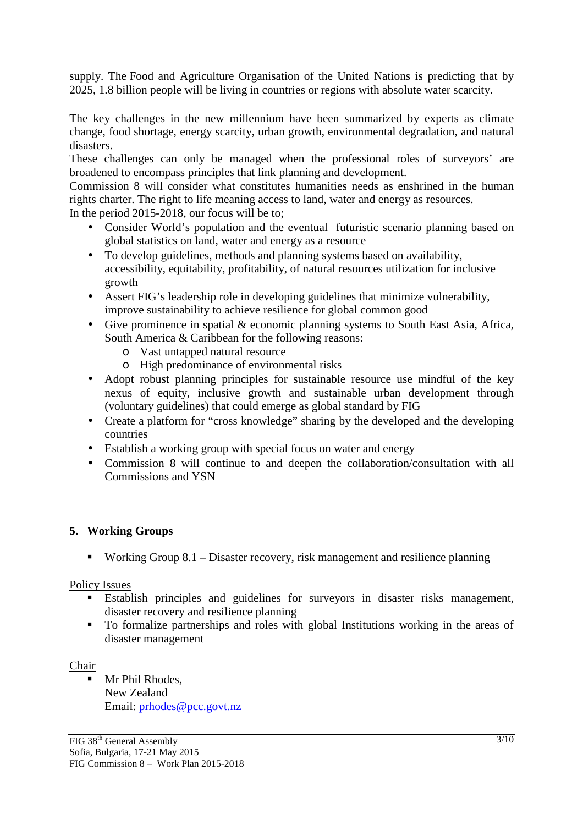supply. The Food and Agriculture Organisation of the United Nations is predicting that by 2025, 1.8 billion people will be living in countries or regions with absolute water scarcity.

The key challenges in the new millennium have been summarized by experts as climate change, food shortage, energy scarcity, urban growth, environmental degradation, and natural disasters.

These challenges can only be managed when the professional roles of surveyors' are broadened to encompass principles that link planning and development.

Commission 8 will consider what constitutes humanities needs as enshrined in the human rights charter. The right to life meaning access to land, water and energy as resources.

In the period 2015-2018, our focus will be to;

- Consider World's population and the eventual futuristic scenario planning based on global statistics on land, water and energy as a resource
- To develop guidelines, methods and planning systems based on availability, accessibility, equitability, profitability, of natural resources utilization for inclusive growth
- Assert FIG's leadership role in developing guidelines that minimize vulnerability, improve sustainability to achieve resilience for global common good
- Give prominence in spatial & economic planning systems to South East Asia, Africa, South America & Caribbean for the following reasons:
	- o Vast untapped natural resource
	- o High predominance of environmental risks
- Adopt robust planning principles for sustainable resource use mindful of the key nexus of equity, inclusive growth and sustainable urban development through (voluntary guidelines) that could emerge as global standard by FIG
- Create a platform for "cross knowledge" sharing by the developed and the developing countries
- Establish a working group with special focus on water and energy
- Commission 8 will continue to and deepen the collaboration/consultation with all Commissions and YSN

# **5. Working Groups**

Working Group  $8.1 -$ Disaster recovery, risk management and resilience planning

### Policy Issues

- Establish principles and guidelines for surveyors in disaster risks management, disaster recovery and resilience planning
- To formalize partnerships and roles with global Institutions working in the areas of disaster management

### Chair

**Mr Phil Rhodes.** New Zealand Email: prhodes@pcc.govt.nz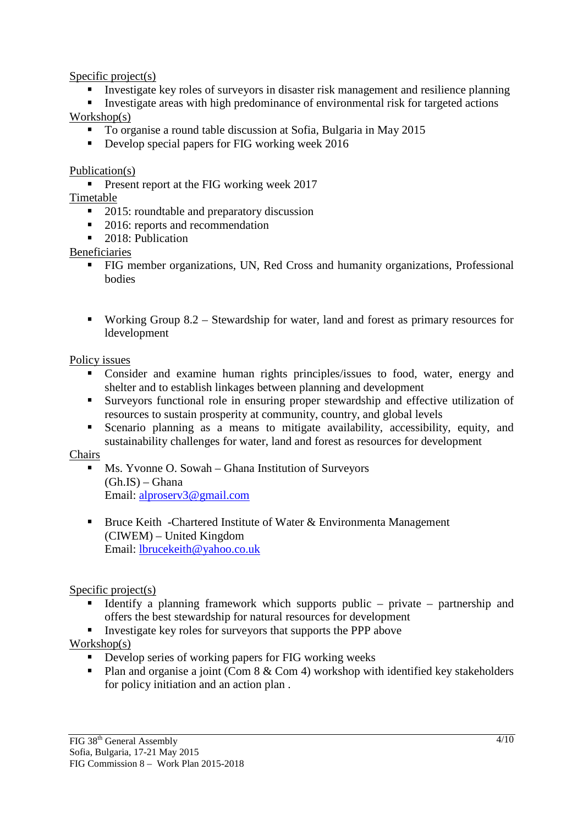Specific project(s)

- Investigate key roles of surveyors in disaster risk management and resilience planning
- Investigate areas with high predominance of environmental risk for targeted actions Workshop(s)
	- To organise a round table discussion at Sofia, Bulgaria in May 2015
	- Develop special papers for FIG working week 2016

Publication(s)

**Present report at the FIG working week 2017** 

Timetable

- 2015: roundtable and preparatory discussion
- 2016: reports and recommendation
- 2018: Publication

Beneficiaries

- FIG member organizations, UN, Red Cross and humanity organizations, Professional bodies
- Working Group  $8.2$  Stewardship for water, land and forest as primary resources for ldevelopment

Policy issues

- Consider and examine human rights principles/issues to food, water, energy and shelter and to establish linkages between planning and development
- Surveyors functional role in ensuring proper stewardship and effective utilization of resources to sustain prosperity at community, country, and global levels
- Scenario planning as a means to mitigate availability, accessibility, equity, and sustainability challenges for water, land and forest as resources for development

**Chairs** 

- **Ms. Yvonne O. Sowah Ghana Institution of Surveyors**  $(Gh.IS) - Ghana$ Email: alproserv3@gmail.com
- Bruce Keith -Chartered Institute of Water & Environmenta Management (CIWEM) – United Kingdom Email: lbrucekeith@yahoo.co.uk

# Specific project(s)

- Identify a planning framework which supports public private partnership and offers the best stewardship for natural resources for development
- Investigate key roles for surveyors that supports the PPP above

Workshop(s)

- Develop series of working papers for FIG working weeks
- Plan and organise a joint (Com  $8 \&$  Com 4) workshop with identified key stakeholders for policy initiation and an action plan .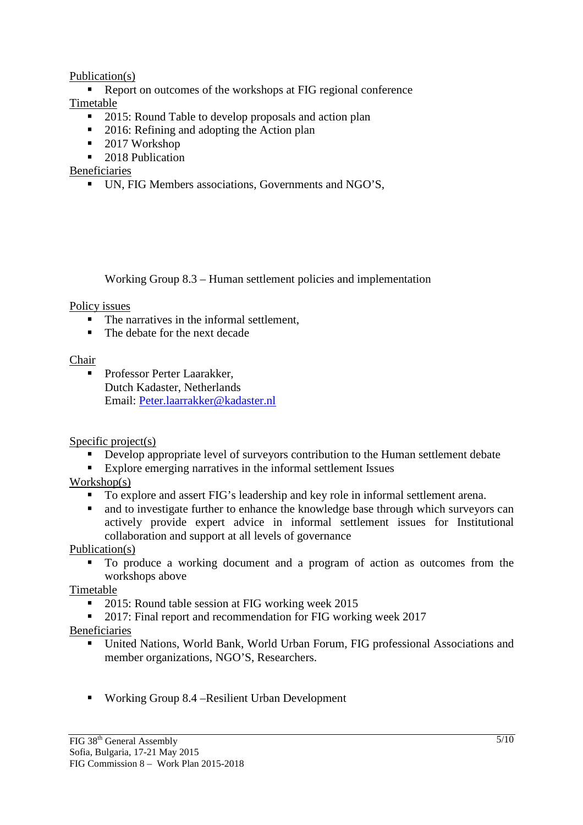# Publication(s)

Report on outcomes of the workshops at FIG regional conference Timetable

- 2015: Round Table to develop proposals and action plan
- 2016: Refining and adopting the Action plan
- $\blacksquare$  2017 Workshop
- 2018 Publication

Beneficiaries

UN, FIG Members associations, Governments and NGO'S,

Working Group 8.3 – Human settlement policies and implementation

### Policy issues

- The narratives in the informal settlement.
- The debate for the next decade

# Chair

**Professor Perter Laarakker,** Dutch Kadaster, Netherlands Email: Peter.laarrakker@kadaster.nl

### Specific project(s)

- Develop appropriate level of surveyors contribution to the Human settlement debate
- Explore emerging narratives in the informal settlement Issues

# Workshop(s)

- To explore and assert FIG's leadership and key role in informal settlement arena.
- and to investigate further to enhance the knowledge base through which surveyors can actively provide expert advice in informal settlement issues for Institutional collaboration and support at all levels of governance

Publication(s)

 To produce a working document and a program of action as outcomes from the workshops above

Timetable

- 2015: Round table session at FIG working week 2015
- <sup>2017</sup>: Final report and recommendation for FIG working week 2017

# Beneficiaries

- United Nations, World Bank, World Urban Forum, FIG professional Associations and member organizations, NGO'S, Researchers.
- Working Group 8.4 –Resilient Urban Development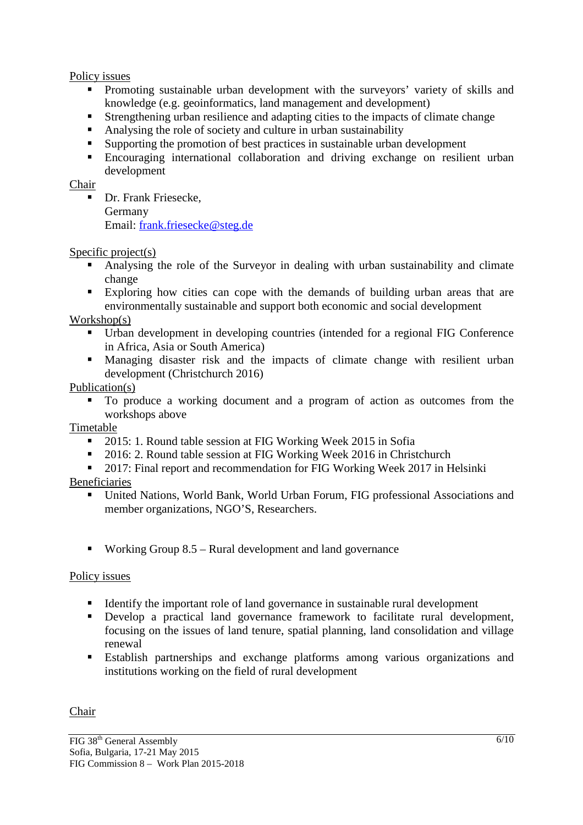### Policy issues

- **Promoting sustainable urban development with the surveyors' variety of skills and** knowledge (e.g. geoinformatics, land management and development)
- Strengthening urban resilience and adapting cities to the impacts of climate change
- Analysing the role of society and culture in urban sustainability
- Supporting the promotion of best practices in sustainable urban development
- Encouraging international collaboration and driving exchange on resilient urban development

Chair

**Dr.** Frank Friesecke, Germany Email: frank.friesecke@steg.de

# Specific project(s)

- Analysing the role of the Surveyor in dealing with urban sustainability and climate change
- Exploring how cities can cope with the demands of building urban areas that are environmentally sustainable and support both economic and social development

Workshop(s)

- Urban development in developing countries (intended for a regional FIG Conference in Africa, Asia or South America)
- Managing disaster risk and the impacts of climate change with resilient urban development (Christchurch 2016)

# Publication(s)

 To produce a working document and a program of action as outcomes from the workshops above

### Timetable

- 2015: 1. Round table session at FIG Working Week 2015 in Sofia
- <sup>2016:</sup> 2. Round table session at FIG Working Week 2016 in Christchurch
- <sup>2017</sup>: Final report and recommendation for FIG Working Week 2017 in Helsinki
- Beneficiaries
	- United Nations, World Bank, World Urban Forum, FIG professional Associations and member organizations, NGO'S, Researchers.
	- Working Group 8.5 Rural development and land governance

### Policy issues

- Identify the important role of land governance in sustainable rural development
- Develop a practical land governance framework to facilitate rural development, focusing on the issues of land tenure, spatial planning, land consolidation and village renewal
- Establish partnerships and exchange platforms among various organizations and institutions working on the field of rural development

### Chair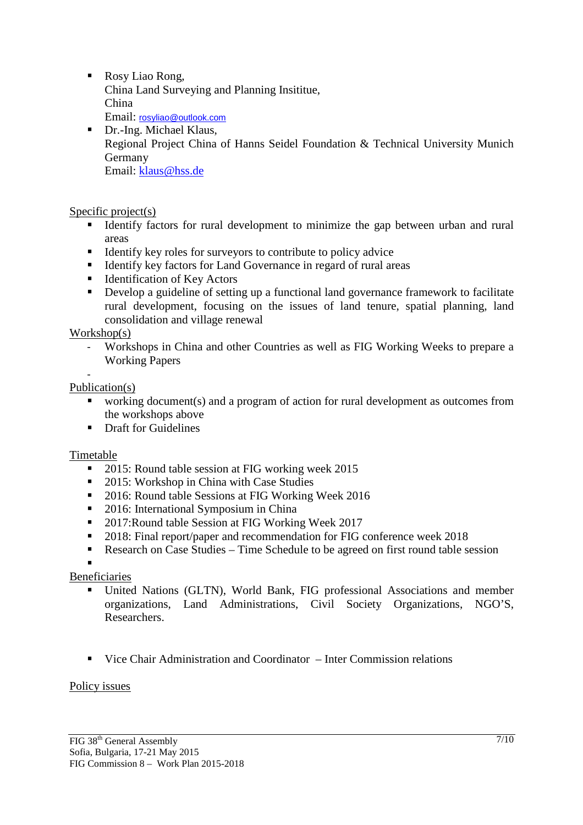■ Rosy Liao Rong, China Land Surveying and Planning Insititue, China Email: rosyliao@outlook.com

Dr.-Ing. Michael Klaus, Regional Project China of Hanns Seidel Foundation & Technical University Munich Germany Email: klaus@hss.de

Specific project(s)

- Identify factors for rural development to minimize the gap between urban and rural areas
- $\blacksquare$  Identify key roles for surveyors to contribute to policy advice
- Identify key factors for Land Governance in regard of rural areas
- Identification of Key Actors
- Develop a guideline of setting up a functional land governance framework to facilitate rural development, focusing on the issues of land tenure, spatial planning, land consolidation and village renewal

Workshop(s)

- Workshops in China and other Countries as well as FIG Working Weeks to prepare a Working Papers
- -

### Publication(s)

- working document(s) and a program of action for rural development as outcomes from the workshops above
- **•** Draft for Guidelines

### Timetable

- 2015: Round table session at FIG working week 2015
- 2015: Workshop in China with Case Studies
- <sup>2016:</sup> Round table Sessions at FIG Working Week 2016
- 2016: International Symposium in China
- 2017:Round table Session at FIG Working Week 2017
- 2018: Final report/paper and recommendation for FIG conference week 2018
- Research on Case Studies Time Schedule to be agreed on first round table session

# .

- Beneficiaries United Nations (GLTN), World Bank, FIG professional Associations and member organizations, Land Administrations, Civil Society Organizations, NGO'S, Researchers.
	- Vice Chair Administration and Coordinator Inter Commission relations

#### Policy issues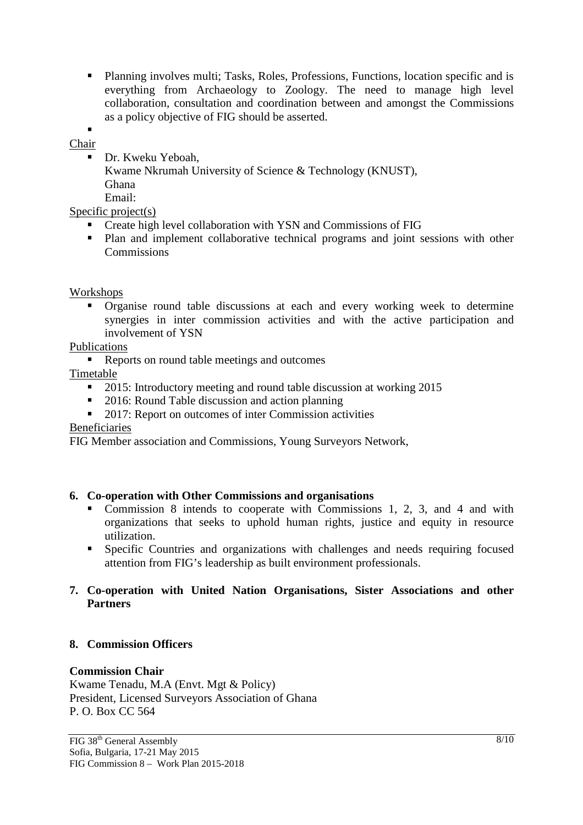Planning involves multi; Tasks, Roles, Professions, Functions, location specific and is everything from Archaeology to Zoology. The need to manage high level collaboration, consultation and coordination between and amongst the Commissions as a policy objective of FIG should be asserted.

.

Chair Dr. Kweku Yeboah, Kwame Nkrumah University of Science & Technology (KNUST), Ghana Email:

### Specific project(s)

- **Create high level collaboration with YSN and Commissions of FIG**
- Plan and implement collaborative technical programs and joint sessions with other Commissions

#### Workshops

 Organise round table discussions at each and every working week to determine synergies in inter commission activities and with the active participation and involvement of YSN

#### Publications

Reports on round table meetings and outcomes

Timetable

- <sup>2015</sup>: Introductory meeting and round table discussion at working 2015
- 2016: Round Table discussion and action planning
- 2017: Report on outcomes of inter Commission activities

#### Beneficiaries

FIG Member association and Commissions, Young Surveyors Network,

### **6. Co-operation with Other Commissions and organisations**

- Commission 8 intends to cooperate with Commissions 1, 2, 3, and 4 and with organizations that seeks to uphold human rights, justice and equity in resource utilization.
- Specific Countries and organizations with challenges and needs requiring focused attention from FIG's leadership as built environment professionals.

### **7. Co-operation with United Nation Organisations, Sister Associations and other Partners**

#### **8. Commission Officers**

### **Commission Chair**

Kwame Tenadu, M.A (Envt. Mgt & Policy) President, Licensed Surveyors Association of Ghana P. O. Box CC 564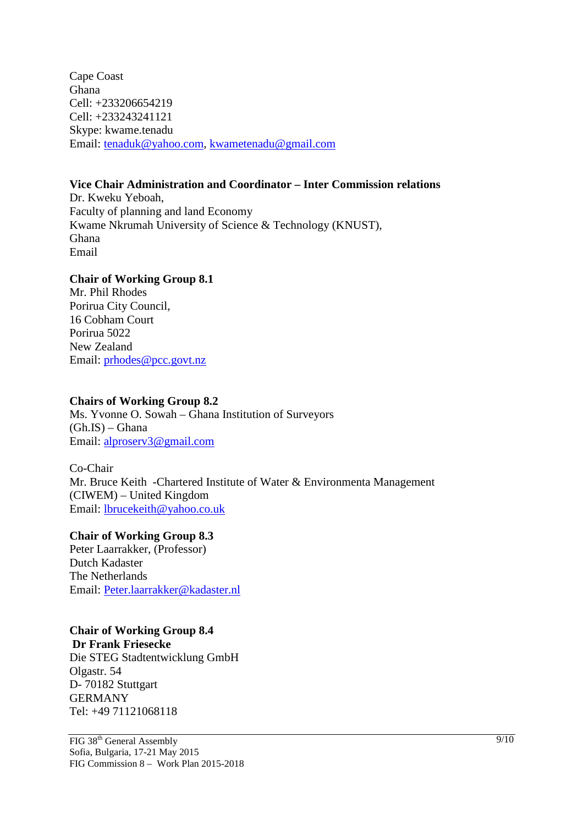Cape Coast Ghana Cell: +233206654219 Cell: +233243241121 Skype: kwame.tenadu Email: tenaduk@yahoo.com, kwametenadu@gmail.com

### **Vice Chair Administration and Coordinator – Inter Commission relations**

Dr. Kweku Yeboah, Faculty of planning and land Economy Kwame Nkrumah University of Science & Technology (KNUST), Ghana Email

#### **Chair of Working Group 8.1**

Mr. Phil Rhodes Porirua City Council, 16 Cobham Court Porirua 5022 New Zealand Email: prhodes@pcc.govt.nz

#### **Chairs of Working Group 8.2**

Ms. Yvonne O. Sowah – Ghana Institution of Surveyors  $(Gh.IS) - Ghana$ Email: alproserv3@gmail.com

Co-Chair Mr. Bruce Keith -Chartered Institute of Water & Environmenta Management (CIWEM) – United Kingdom Email: lbrucekeith@yahoo.co.uk

#### **Chair of Working Group 8.3**

Peter Laarrakker, (Professor) Dutch Kadaster The Netherlands Email: Peter.laarrakker@kadaster.nl

### **Chair of Working Group 8.4**

**Dr Frank Friesecke** 

Die STEG Stadtentwicklung GmbH Olgastr. 54 D- 70182 Stuttgart GERMANY Tel: +49 71121068118